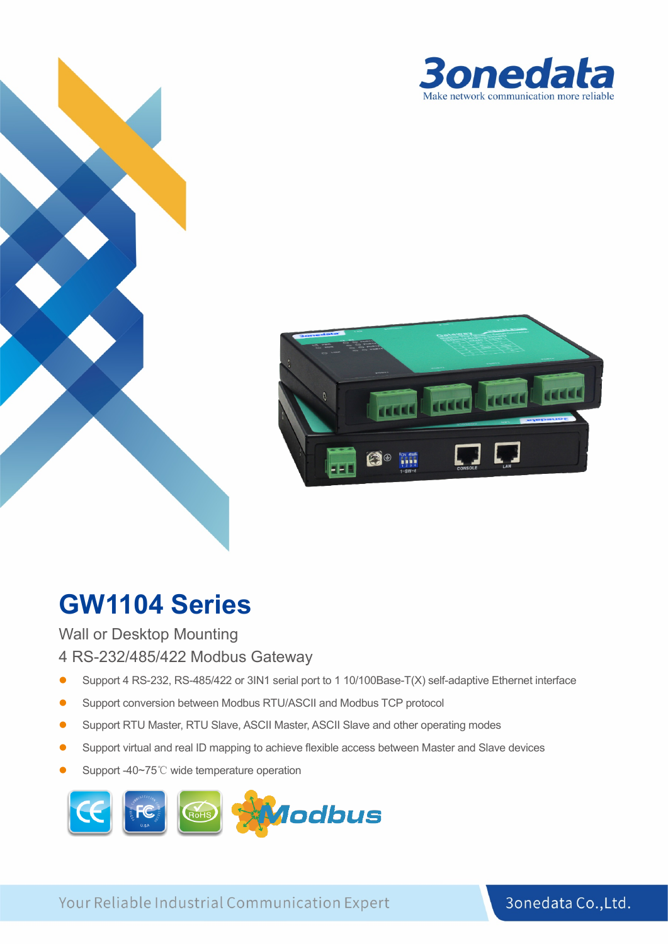



# **GW1104 Series**

Wall or Desktop Mounting

4 RS-232/485/422 Modbus Gateway

- Support 4 RS-232, RS-485/422 or 3IN1 serial port to 1 10/100Base-T(X) self-adaptive Ethernet interface
- Support conversion between Modbus RTU/ASCII and Modbus TCP protocol
- Support RTU Master, RTU Slave, ASCII Master, ASCII Slave and other operating modes
- Support virtual and real ID mapping to achieve flexible access between Master and Slave devices
- Support -40~75℃ wide temperature operation



Your Reliable Industrial Communication Expert

3onedata Co., Ltd.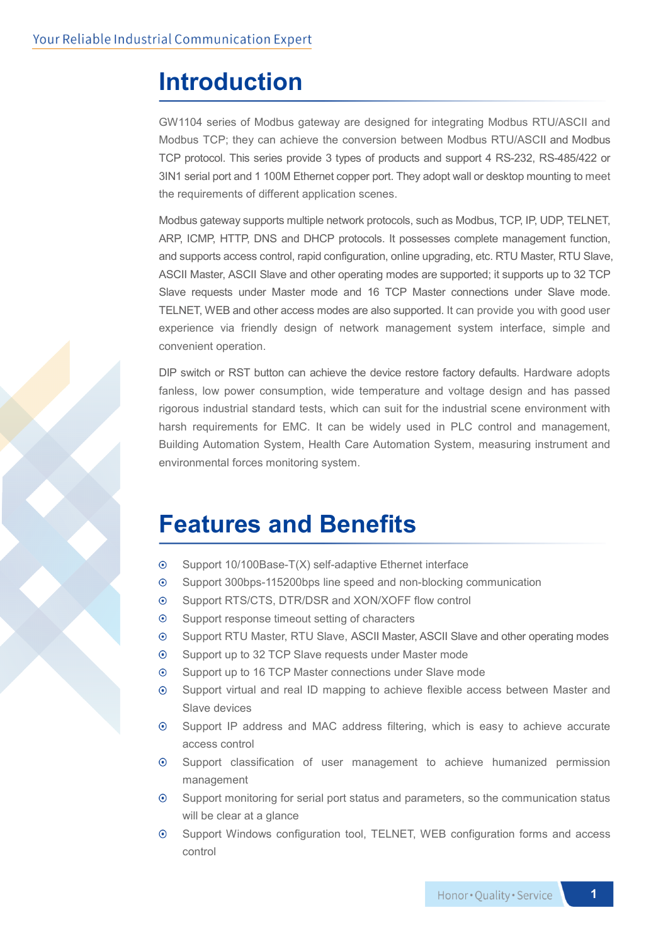## **Introduction**

GW1104 series of Modbus gateway are designed for integrating Modbus RTU/ASCII and Modbus TCP; they can achieve the conversion between Modbus RTU/ASCII and Modbus TCP protocol. This series provide 3 types of products and support 4 RS-232, RS-485/422 or 3IN1 serial port and 1 100M Ethernet copper port. They adopt wall or desktop mounting to meet the requirements of different application scenes.

Modbus gateway supports multiple network protocols, such as Modbus, TCP, IP, UDP, TELNET, ARP, ICMP, HTTP, DNS and DHCP protocols. It possesses complete management function, and supports access control, rapid configuration, online upgrading, etc. RTU Master, RTU Slave, ASCII Master, ASCII Slave and other operating modes are supported; it supports up to 32 TCP Slave requests under Master mode and 16 TCP Master connections under Slave mode. TELNET, WEB and other access modes are also supported. It can provide you with good user experience via friendly design of network management system interface, simple and convenient operation.

DIP switch or RST button can achieve the device restore factory defaults. Hardware adopts fanless, low power consumption, wide temperature and voltage design and has passed rigorous industrial standard tests, which can suit for the industrial scene environment with harsh requirements for EMC. It can be widely used in PLC control and management, Building Automation System, Health Care Automation System, measuring instrument and environmental forces monitoring system.

## **Features and Benefits**

- Support 10/100Base-T(X) self-adaptive Ethernet interface  $\odot$
- $\odot$ Support 300bps-115200bps line speed and non-blocking communication
- Support RTS/CTS, DTR/DSR and XON/XOFF flow control  $\odot$
- $\odot$ Support response timeout setting of characters
- $\odot$ Support RTU Master, RTU Slave, ASCII Master, ASCII Slave and other operating modes
- Support up to 32 TCP Slave requests under Master mode  $\odot$
- Support up to 16 TCP Master connections under Slave mode  $\odot$
- Support virtual and real ID mapping to achieve flexible access between Master and  $\odot$ Slave devices
- $\odot$ Support IP address and MAC address filtering, which is easy to achieve accurate access control
- $\odot$ Support classification of user management to achieve humanized permission management
- $\odot$ Support monitoring for serial port status and parameters, so the communication status will be clear at a glance
- $\odot$ Support Windows configuration tool, TELNET, WEB configuration forms and access control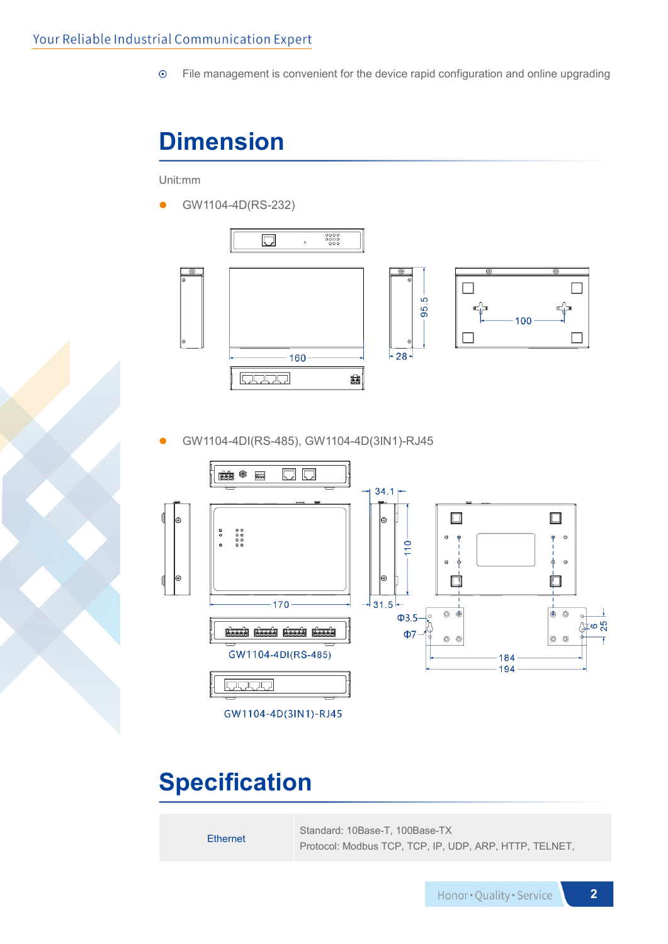$\odot$ File management is convenient for the device rapid configuration and online upgrading

# **Dimension**

Unit:mm

GW1104-4D(RS-232)



GW1104-4DI(RS-485), GW1104-4D(3IN1)-RJ45



## **Specification**

Ethernet Standard: 10Base-T, 100Base-TX Protocol: Modbus TCP, TCP, IP, UDP, ARP, HTTP, TELNET,

**2**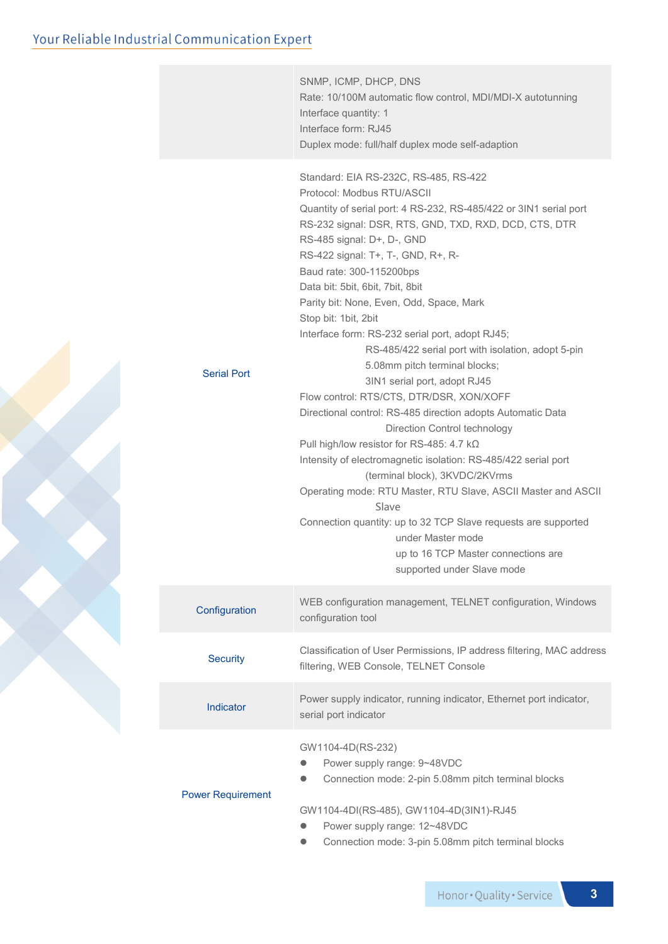#### Your Reliable Industrial Communication Expert

|                          | SNMP, ICMP, DHCP, DNS<br>Rate: 10/100M automatic flow control, MDI/MDI-X autotunning<br>Interface quantity: 1<br>Interface form: RJ45<br>Duplex mode: full/half duplex mode self-adaption                                                                                                                                                                                                                                                                                                                                                                                                                                                                                                                                                                                                                                                                                                                                                                                                                                                                                                                             |  |  |  |  |
|--------------------------|-----------------------------------------------------------------------------------------------------------------------------------------------------------------------------------------------------------------------------------------------------------------------------------------------------------------------------------------------------------------------------------------------------------------------------------------------------------------------------------------------------------------------------------------------------------------------------------------------------------------------------------------------------------------------------------------------------------------------------------------------------------------------------------------------------------------------------------------------------------------------------------------------------------------------------------------------------------------------------------------------------------------------------------------------------------------------------------------------------------------------|--|--|--|--|
| <b>Serial Port</b>       | Standard: EIA RS-232C, RS-485, RS-422<br>Protocol: Modbus RTU/ASCII<br>Quantity of serial port: 4 RS-232, RS-485/422 or 3IN1 serial port<br>RS-232 signal: DSR, RTS, GND, TXD, RXD, DCD, CTS, DTR<br>RS-485 signal: D+, D-, GND<br>RS-422 signal: T+, T-, GND, R+, R-<br>Baud rate: 300-115200bps<br>Data bit: 5bit, 6bit, 7bit, 8bit<br>Parity bit: None, Even, Odd, Space, Mark<br>Stop bit: 1bit, 2bit<br>Interface form: RS-232 serial port, adopt RJ45;<br>RS-485/422 serial port with isolation, adopt 5-pin<br>5.08mm pitch terminal blocks;<br>3IN1 serial port, adopt RJ45<br>Flow control: RTS/CTS, DTR/DSR, XON/XOFF<br>Directional control: RS-485 direction adopts Automatic Data<br>Direction Control technology<br>Pull high/low resistor for RS-485: 4.7 kΩ<br>Intensity of electromagnetic isolation: RS-485/422 serial port<br>(terminal block), 3KVDC/2KVrms<br>Operating mode: RTU Master, RTU Slave, ASCII Master and ASCII<br>Slave<br>Connection quantity: up to 32 TCP Slave requests are supported<br>under Master mode<br>up to 16 TCP Master connections are<br>supported under Slave mode |  |  |  |  |
| Configuration            | WEB configuration management, TELNET configuration, Windows<br>configuration tool                                                                                                                                                                                                                                                                                                                                                                                                                                                                                                                                                                                                                                                                                                                                                                                                                                                                                                                                                                                                                                     |  |  |  |  |
| <b>Security</b>          | Classification of User Permissions, IP address filtering, MAC address<br>filtering, WEB Console, TELNET Console                                                                                                                                                                                                                                                                                                                                                                                                                                                                                                                                                                                                                                                                                                                                                                                                                                                                                                                                                                                                       |  |  |  |  |
| Indicator                | Power supply indicator, running indicator, Ethernet port indicator,<br>serial port indicator                                                                                                                                                                                                                                                                                                                                                                                                                                                                                                                                                                                                                                                                                                                                                                                                                                                                                                                                                                                                                          |  |  |  |  |
| <b>Power Requirement</b> | GW1104-4D(RS-232)<br>Power supply range: 9~48VDC<br>Connection mode: 2-pin 5.08mm pitch terminal blocks<br>GW1104-4DI(RS-485), GW1104-4D(3IN1)-RJ45<br>Power supply range: 12~48VDC                                                                                                                                                                                                                                                                                                                                                                                                                                                                                                                                                                                                                                                                                                                                                                                                                                                                                                                                   |  |  |  |  |

Connection mode: 3-pin 5.08mm pitch terminal blocks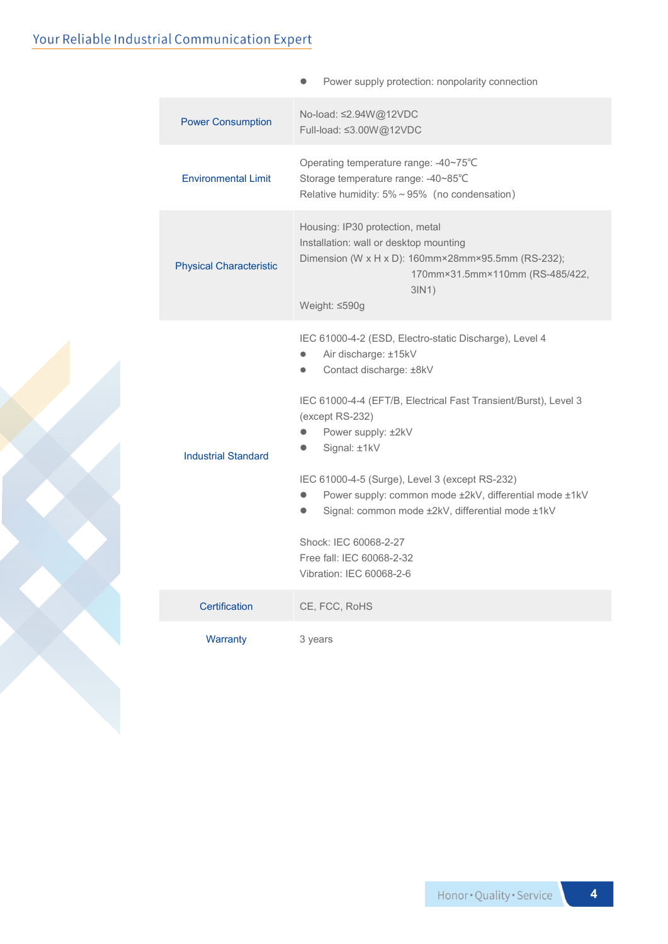### Your Reliable Industrial Communication Expert

|                                | Power supply protection: nonpolarity connection                                                                                                                                                                                                                                                                                                                                                                                                                                                      |  |  |  |  |
|--------------------------------|------------------------------------------------------------------------------------------------------------------------------------------------------------------------------------------------------------------------------------------------------------------------------------------------------------------------------------------------------------------------------------------------------------------------------------------------------------------------------------------------------|--|--|--|--|
| <b>Power Consumption</b>       | No-load: ≤2.94W@12VDC<br>Full-load: ≤3.00W@12VDC                                                                                                                                                                                                                                                                                                                                                                                                                                                     |  |  |  |  |
| <b>Environmental Limit</b>     | Operating temperature range: -40~75°C<br>Storage temperature range: -40~85°C<br>Relative humidity: 5% ~ 95% (no condensation)                                                                                                                                                                                                                                                                                                                                                                        |  |  |  |  |
| <b>Physical Characteristic</b> | Housing: IP30 protection, metal<br>Installation: wall or desktop mounting<br>Dimension (W x H x D): 160mm×28mm×95.5mm (RS-232);<br>170mm×31.5mm×110mm (RS-485/422,<br>3IN1)<br>Weight: ≤590g                                                                                                                                                                                                                                                                                                         |  |  |  |  |
| <b>Industrial Standard</b>     | IEC 61000-4-2 (ESD, Electro-static Discharge), Level 4<br>Air discharge: ±15kV<br>Contact discharge: ±8kV<br>IEC 61000-4-4 (EFT/B, Electrical Fast Transient/Burst), Level 3<br>(except RS-232)<br>Power supply: ±2kV<br>Signal: ±1kV<br>IEC 61000-4-5 (Surge), Level 3 (except RS-232)<br>Power supply: common mode ±2kV, differential mode ±1kV<br>Signal: common mode ±2kV, differential mode ±1kV<br>$\bullet$<br>Shock: IEC 60068-2-27<br>Free fall: IEC 60068-2-32<br>Vibration: IEC 60068-2-6 |  |  |  |  |
| Certification                  | CE, FCC, RoHS                                                                                                                                                                                                                                                                                                                                                                                                                                                                                        |  |  |  |  |
| Warranty                       | 3 years                                                                                                                                                                                                                                                                                                                                                                                                                                                                                              |  |  |  |  |